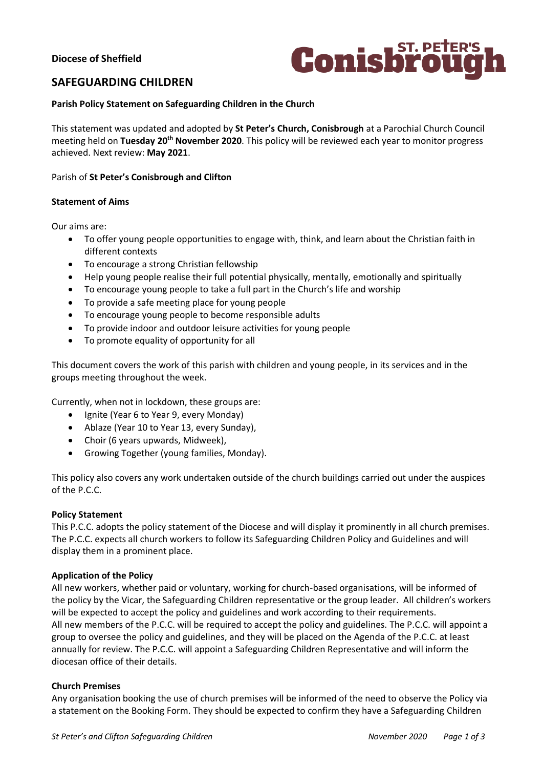# **Diocese of Sheffield**



# **SAFEGUARDING CHILDREN**

### **Parish Policy Statement on Safeguarding Children in the Church**

This statement was updated and adopted by **St Peter's Church, Conisbrough** at a Parochial Church Council meeting held on **Tuesday 20th November 2020**. This policy will be reviewed each year to monitor progress achieved. Next review: **May 2021**.

### Parish of **St Peter's Conisbrough and Clifton**

#### **Statement of Aims**

Our aims are:

- To offer young people opportunities to engage with, think, and learn about the Christian faith in different contexts
- To encourage a strong Christian fellowship
- Help young people realise their full potential physically, mentally, emotionally and spiritually
- To encourage young people to take a full part in the Church's life and worship
- To provide a safe meeting place for young people
- To encourage young people to become responsible adults
- To provide indoor and outdoor leisure activities for young people
- To promote equality of opportunity for all

This document covers the work of this parish with children and young people, in its services and in the groups meeting throughout the week.

Currently, when not in lockdown, these groups are:

- Ignite (Year 6 to Year 9, every Monday)
- Ablaze (Year 10 to Year 13, every Sunday),
- Choir (6 years upwards, Midweek),
- Growing Together (young families, Monday).

This policy also covers any work undertaken outside of the church buildings carried out under the auspices of the P.C.C.

### **Policy Statement**

This P.C.C. adopts the policy statement of the Diocese and will display it prominently in all church premises. The P.C.C. expects all church workers to follow its Safeguarding Children Policy and Guidelines and will display them in a prominent place.

### **Application of the Policy**

All new workers, whether paid or voluntary, working for church-based organisations, will be informed of the policy by the Vicar, the Safeguarding Children representative or the group leader. All children's workers will be expected to accept the policy and guidelines and work according to their requirements. All new members of the P.C.C. will be required to accept the policy and guidelines. The P.C.C. will appoint a group to oversee the policy and guidelines, and they will be placed on the Agenda of the P.C.C. at least annually for review. The P.C.C. will appoint a Safeguarding Children Representative and will inform the diocesan office of their details.

### **Church Premises**

Any organisation booking the use of church premises will be informed of the need to observe the Policy via a statement on the Booking Form. They should be expected to confirm they have a Safeguarding Children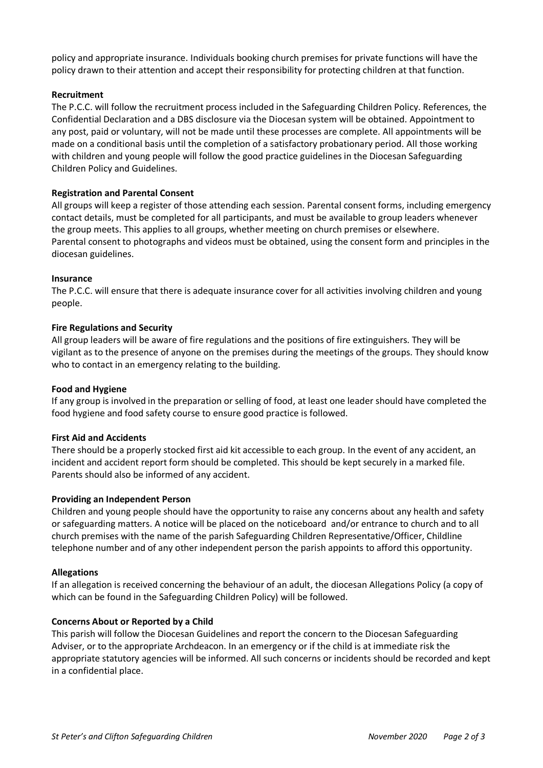policy and appropriate insurance. Individuals booking church premises for private functions will have the policy drawn to their attention and accept their responsibility for protecting children at that function.

### **Recruitment**

The P.C.C. will follow the recruitment process included in the Safeguarding Children Policy. References, the Confidential Declaration and a DBS disclosure via the Diocesan system will be obtained. Appointment to any post, paid or voluntary, will not be made until these processes are complete. All appointments will be made on a conditional basis until the completion of a satisfactory probationary period. All those working with children and young people will follow the good practice guidelines in the Diocesan Safeguarding Children Policy and Guidelines.

#### **Registration and Parental Consent**

All groups will keep a register of those attending each session. Parental consent forms, including emergency contact details, must be completed for all participants, and must be available to group leaders whenever the group meets. This applies to all groups, whether meeting on church premises or elsewhere. Parental consent to photographs and videos must be obtained, using the consent form and principles in the diocesan guidelines.

#### **Insurance**

The P.C.C. will ensure that there is adequate insurance cover for all activities involving children and young people.

#### **Fire Regulations and Security**

All group leaders will be aware of fire regulations and the positions of fire extinguishers. They will be vigilant as to the presence of anyone on the premises during the meetings of the groups. They should know who to contact in an emergency relating to the building.

#### **Food and Hygiene**

If any group is involved in the preparation or selling of food, at least one leader should have completed the food hygiene and food safety course to ensure good practice is followed.

#### **First Aid and Accidents**

There should be a properly stocked first aid kit accessible to each group. In the event of any accident, an incident and accident report form should be completed. This should be kept securely in a marked file. Parents should also be informed of any accident.

#### **Providing an Independent Person**

Children and young people should have the opportunity to raise any concerns about any health and safety or safeguarding matters. A notice will be placed on the noticeboard and/or entrance to church and to all church premises with the name of the parish Safeguarding Children Representative/Officer, Childline telephone number and of any other independent person the parish appoints to afford this opportunity.

#### **Allegations**

If an allegation is received concerning the behaviour of an adult, the diocesan Allegations Policy (a copy of which can be found in the Safeguarding Children Policy) will be followed.

### **Concerns About or Reported by a Child**

This parish will follow the Diocesan Guidelines and report the concern to the Diocesan Safeguarding Adviser, or to the appropriate Archdeacon. In an emergency or if the child is at immediate risk the appropriate statutory agencies will be informed. All such concerns or incidents should be recorded and kept in a confidential place.